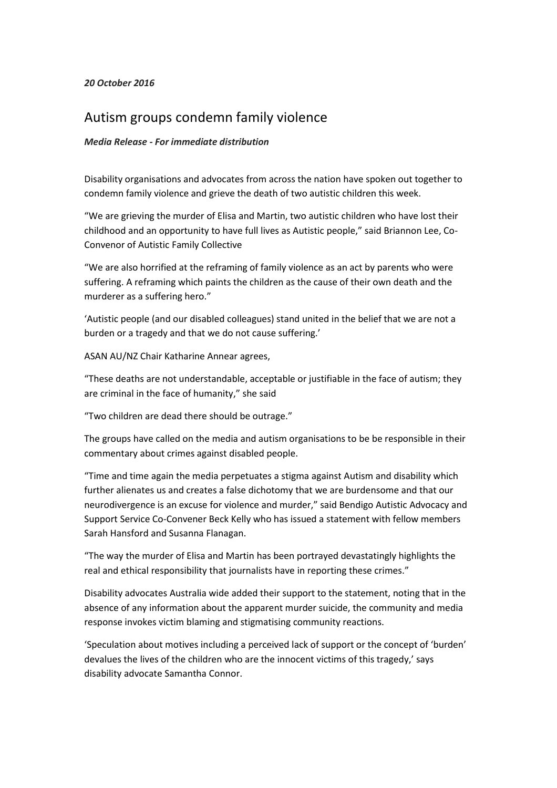## *20 October 2016*

## Autism groups condemn family violence

## *Media Release - For immediate distribution*

Disability organisations and advocates from across the nation have spoken out together to condemn family violence and grieve the death of two autistic children this week.

"We are grieving the murder of Elisa and Martin, two autistic children who have lost their childhood and an opportunity to have full lives as Autistic people," said Briannon Lee, Co-Convenor of Autistic Family Collective

"We are also horrified at the reframing of family violence as an act by parents who were suffering. A reframing which paints the children as the cause of their own death and the murderer as a suffering hero."

'Autistic people (and our disabled colleagues) stand united in the belief that we are not a burden or a tragedy and that we do not cause suffering.'

ASAN AU/NZ Chair Katharine Annear agrees,

"These deaths are not understandable, acceptable or justifiable in the face of autism; they are criminal in the face of humanity," she said

"Two children are dead there should be outrage."

The groups have called on the media and autism organisations to be be responsible in their commentary about crimes against disabled people.

"Time and time again the media perpetuates a stigma against Autism and disability which further alienates us and creates a false dichotomy that we are burdensome and that our neurodivergence is an excuse for violence and murder," said Bendigo Autistic Advocacy and Support Service Co-Convener Beck Kelly who has issued a statement with fellow members Sarah Hansford and Susanna Flanagan.

"The way the murder of Elisa and Martin has been portrayed devastatingly highlights the real and ethical responsibility that journalists have in reporting these crimes."

Disability advocates Australia wide added their support to the statement, noting that in the absence of any information about the apparent murder suicide, the community and media response invokes victim blaming and stigmatising community reactions.

'Speculation about motives including a perceived lack of support or the concept of 'burden' devalues the lives of the children who are the innocent victims of this tragedy,' says disability advocate Samantha Connor.